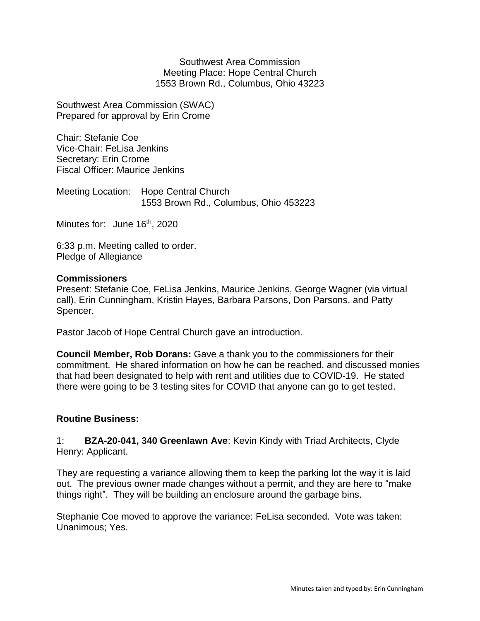Southwest Area Commission Meeting Place: Hope Central Church 1553 Brown Rd., Columbus, Ohio 43223

Southwest Area Commission (SWAC) Prepared for approval by Erin Crome

Chair: Stefanie Coe Vice-Chair: FeLisa Jenkins Secretary: Erin Crome Fiscal Officer: Maurice Jenkins

Meeting Location: Hope Central Church 1553 Brown Rd., Columbus, Ohio 453223

Minutes for: June 16<sup>th</sup>, 2020

6:33 p.m. Meeting called to order. Pledge of Allegiance

## **Commissioners**

Present: Stefanie Coe, FeLisa Jenkins, Maurice Jenkins, George Wagner (via virtual call), Erin Cunningham, Kristin Hayes, Barbara Parsons, Don Parsons, and Patty Spencer.

Pastor Jacob of Hope Central Church gave an introduction.

**Council Member, Rob Dorans:** Gave a thank you to the commissioners for their commitment. He shared information on how he can be reached, and discussed monies that had been designated to help with rent and utilities due to COVID-19. He stated there were going to be 3 testing sites for COVID that anyone can go to get tested.

## **Routine Business:**

1: **BZA-20-041, 340 Greenlawn Ave**: Kevin Kindy with Triad Architects, Clyde Henry: Applicant.

They are requesting a variance allowing them to keep the parking lot the way it is laid out. The previous owner made changes without a permit, and they are here to "make things right". They will be building an enclosure around the garbage bins.

Stephanie Coe moved to approve the variance: FeLisa seconded. Vote was taken: Unanimous; Yes.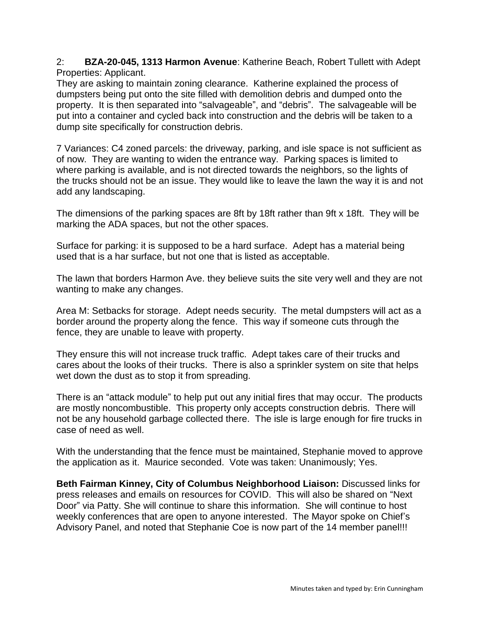2: **BZA-20-045, 1313 Harmon Avenue**: Katherine Beach, Robert Tullett with Adept Properties: Applicant.

They are asking to maintain zoning clearance. Katherine explained the process of dumpsters being put onto the site filled with demolition debris and dumped onto the property. It is then separated into "salvageable", and "debris". The salvageable will be put into a container and cycled back into construction and the debris will be taken to a dump site specifically for construction debris.

7 Variances: C4 zoned parcels: the driveway, parking, and isle space is not sufficient as of now. They are wanting to widen the entrance way. Parking spaces is limited to where parking is available, and is not directed towards the neighbors, so the lights of the trucks should not be an issue. They would like to leave the lawn the way it is and not add any landscaping.

The dimensions of the parking spaces are 8ft by 18ft rather than 9ft x 18ft. They will be marking the ADA spaces, but not the other spaces.

Surface for parking: it is supposed to be a hard surface. Adept has a material being used that is a har surface, but not one that is listed as acceptable.

The lawn that borders Harmon Ave. they believe suits the site very well and they are not wanting to make any changes.

Area M: Setbacks for storage. Adept needs security. The metal dumpsters will act as a border around the property along the fence. This way if someone cuts through the fence, they are unable to leave with property.

They ensure this will not increase truck traffic. Adept takes care of their trucks and cares about the looks of their trucks. There is also a sprinkler system on site that helps wet down the dust as to stop it from spreading.

There is an "attack module" to help put out any initial fires that may occur. The products are mostly noncombustible. This property only accepts construction debris. There will not be any household garbage collected there. The isle is large enough for fire trucks in case of need as well.

With the understanding that the fence must be maintained, Stephanie moved to approve the application as it. Maurice seconded. Vote was taken: Unanimously; Yes.

**Beth Fairman Kinney, City of Columbus Neighborhood Liaison:** Discussed links for press releases and emails on resources for COVID. This will also be shared on "Next Door" via Patty. She will continue to share this information. She will continue to host weekly conferences that are open to anyone interested. The Mayor spoke on Chief's Advisory Panel, and noted that Stephanie Coe is now part of the 14 member panel!!!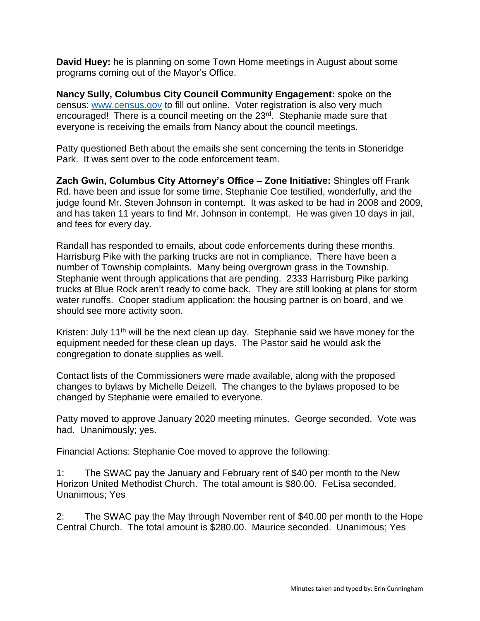**David Huey:** he is planning on some Town Home meetings in August about some programs coming out of the Mayor's Office.

**Nancy Sully, Columbus City Council Community Engagement:** spoke on the census: [www.census.gov](http://www.census.gov/) to fill out online. Voter registration is also very much encouraged! There is a council meeting on the 23rd. Stephanie made sure that everyone is receiving the emails from Nancy about the council meetings.

Patty questioned Beth about the emails she sent concerning the tents in Stoneridge Park. It was sent over to the code enforcement team.

**Zach Gwin, Columbus City Attorney's Office – Zone Initiative:** Shingles off Frank Rd. have been and issue for some time. Stephanie Coe testified, wonderfully, and the judge found Mr. Steven Johnson in contempt. It was asked to be had in 2008 and 2009, and has taken 11 years to find Mr. Johnson in contempt. He was given 10 days in jail, and fees for every day.

Randall has responded to emails, about code enforcements during these months. Harrisburg Pike with the parking trucks are not in compliance. There have been a number of Township complaints. Many being overgrown grass in the Township. Stephanie went through applications that are pending. 2333 Harrisburg Pike parking trucks at Blue Rock aren't ready to come back. They are still looking at plans for storm water runoffs. Cooper stadium application: the housing partner is on board, and we should see more activity soon.

Kristen: July 11<sup>th</sup> will be the next clean up day. Stephanie said we have money for the equipment needed for these clean up days. The Pastor said he would ask the congregation to donate supplies as well.

Contact lists of the Commissioners were made available, along with the proposed changes to bylaws by Michelle Deizell. The changes to the bylaws proposed to be changed by Stephanie were emailed to everyone.

Patty moved to approve January 2020 meeting minutes. George seconded. Vote was had. Unanimously; yes.

Financial Actions: Stephanie Coe moved to approve the following:

1: The SWAC pay the January and February rent of \$40 per month to the New Horizon United Methodist Church. The total amount is \$80.00. FeLisa seconded. Unanimous; Yes

2: The SWAC pay the May through November rent of \$40.00 per month to the Hope Central Church. The total amount is \$280.00. Maurice seconded. Unanimous; Yes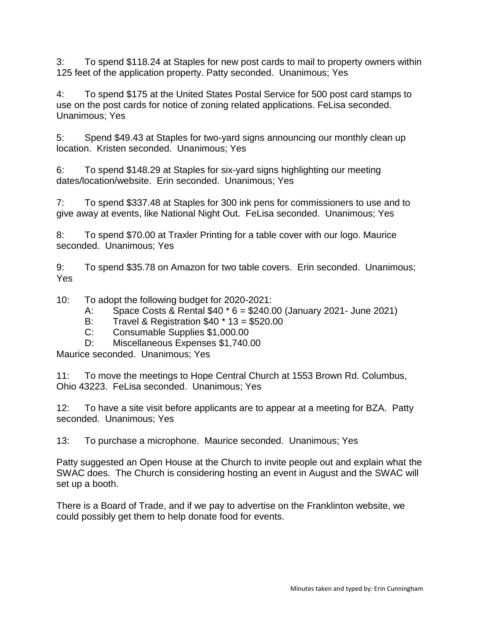3: To spend \$118.24 at Staples for new post cards to mail to property owners within 125 feet of the application property. Patty seconded. Unanimous; Yes

4: To spend \$175 at the United States Postal Service for 500 post card stamps to use on the post cards for notice of zoning related applications. FeLisa seconded. Unanimous; Yes

5: Spend \$49.43 at Staples for two-yard signs announcing our monthly clean up location. Kristen seconded. Unanimous; Yes

6: To spend \$148.29 at Staples for six-yard signs highlighting our meeting dates/location/website. Erin seconded. Unanimous; Yes

7: To spend \$337.48 at Staples for 300 ink pens for commissioners to use and to give away at events, like National Night Out. FeLisa seconded. Unanimous; Yes

8: To spend \$70.00 at Traxler Printing for a table cover with our logo. Maurice seconded. Unanimous; Yes

9: To spend \$35.78 on Amazon for two table covers. Erin seconded. Unanimous; Yes

10: To adopt the following budget for 2020-2021:

- A: Space Costs & Rental \$40 \* 6 = \$240.00 (January 2021- June 2021)
- B: Travel & Registration \$40 \* 13 = \$520.00
- C: Consumable Supplies \$1,000.00
- D: Miscellaneous Expenses \$1,740.00

Maurice seconded. Unanimous; Yes

11: To move the meetings to Hope Central Church at 1553 Brown Rd. Columbus, Ohio 43223. FeLisa seconded. Unanimous; Yes

12: To have a site visit before applicants are to appear at a meeting for BZA. Patty seconded. Unanimous; Yes

13: To purchase a microphone. Maurice seconded. Unanimous; Yes

Patty suggested an Open House at the Church to invite people out and explain what the SWAC does. The Church is considering hosting an event in August and the SWAC will set up a booth.

There is a Board of Trade, and if we pay to advertise on the Franklinton website, we could possibly get them to help donate food for events.